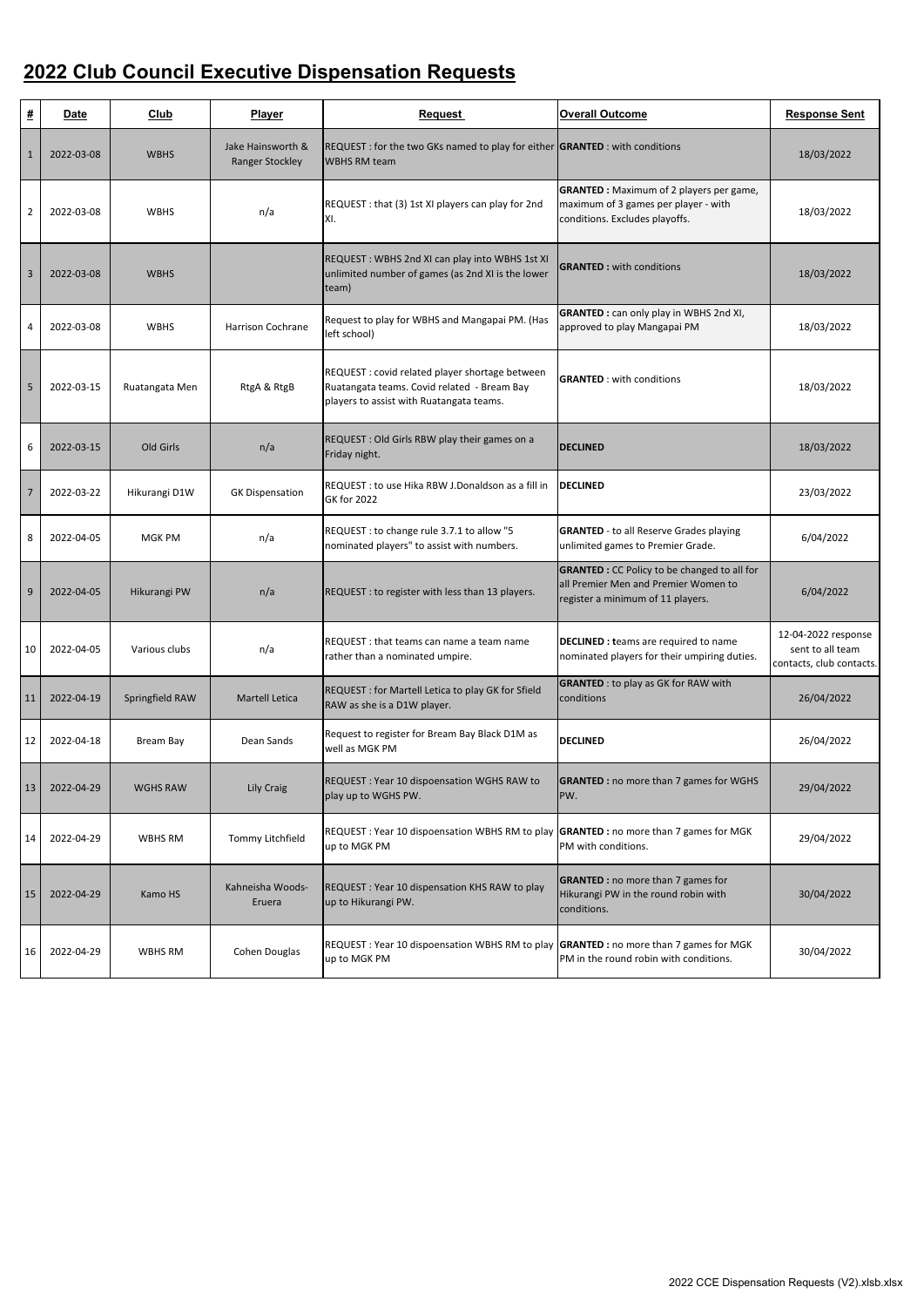| #              | <b>Date</b> | Club            | <b>Player</b>                               | <b>Request</b>                                                                                                                             | <b>Overall Outcome</b>                                                                                                           | <b>Response Sent</b>                                                |
|----------------|-------------|-----------------|---------------------------------------------|--------------------------------------------------------------------------------------------------------------------------------------------|----------------------------------------------------------------------------------------------------------------------------------|---------------------------------------------------------------------|
| $\mathbf{1}$   | 2022-03-08  | <b>WBHS</b>     | Jake Hainsworth &<br><b>Ranger Stockley</b> | REQUEST: for the two GKs named to play for either <b>GRANTED</b> : with conditions<br><b>WBHS RM team</b>                                  |                                                                                                                                  | 18/03/2022                                                          |
| $\overline{2}$ | 2022-03-08  | <b>WBHS</b>     | n/a                                         | REQUEST : that (3) 1st XI players can play for 2nd<br>XI.                                                                                  | <b>GRANTED</b> : Maximum of 2 players per game,<br>maximum of 3 games per player - with<br>conditions. Excludes playoffs.        | 18/03/2022                                                          |
| 3              | 2022-03-08  | <b>WBHS</b>     |                                             | REQUEST: WBHS 2nd XI can play into WBHS 1st XI<br>unlimited number of games (as 2nd XI is the lower<br>team)                               | <b>GRANTED: with conditions</b>                                                                                                  | 18/03/2022                                                          |
| 4              | 2022-03-08  | <b>WBHS</b>     | Harrison Cochrane                           | Request to play for WBHS and Mangapai PM. (Has<br>left school)                                                                             | <b>GRANTED</b> : can only play in WBHS 2nd XI,<br>approved to play Mangapai PM                                                   | 18/03/2022                                                          |
| 5              | 2022-03-15  | Ruatangata Men  | RtgA & RtgB                                 | REQUEST : covid related player shortage between<br>Ruatangata teams. Covid related - Bream Bay<br>players to assist with Ruatangata teams. | <b>GRANTED</b> : with conditions                                                                                                 | 18/03/2022                                                          |
| 6              | 2022-03-15  | Old Girls       | n/a                                         | REQUEST : Old Girls RBW play their games on a<br>Friday night.                                                                             | <b>DECLINED</b>                                                                                                                  | 18/03/2022                                                          |
| $\overline{7}$ | 2022-03-22  | Hikurangi D1W   | <b>GK Dispensation</b>                      | REQUEST : to use Hika RBW J.Donaldson as a fill in<br><b>GK for 2022</b>                                                                   | <b>DECLINED</b>                                                                                                                  | 23/03/2022                                                          |
| 8              | 2022-04-05  | <b>MGK PM</b>   | n/a                                         | REQUEST : to change rule 3.7.1 to allow "5<br>nominated players" to assist with numbers.                                                   | <b>GRANTED</b> - to all Reserve Grades playing<br>unlimited games to Premier Grade.                                              | 6/04/2022                                                           |
| $\mathsf{q}$   | 2022-04-05  | Hikurangi PW    | n/a                                         | REQUEST : to register with less than 13 players.                                                                                           | <b>GRANTED</b> : CC Policy to be changed to all for<br>all Premier Men and Premier Women to<br>register a minimum of 11 players. | 6/04/2022                                                           |
| 10             | 2022-04-05  | Various clubs   | n/a                                         | REQUEST : that teams can name a team name<br>rather than a nominated umpire.                                                               | <b>DECLINED : teams are required to name</b><br>nominated players for their umpiring duties.                                     | 12-04-2022 response<br>sent to all team<br>contacts, club contacts. |
| <b>11</b>      | 2022-04-19  | Springfield RAW | <b>Martell Letica</b>                       | REQUEST : for Martell Letica to play GK for Sfield<br>RAW as she is a D1W player.                                                          | <b>GRANTED</b> : to play as GK for RAW with<br>conditions                                                                        | 26/04/2022                                                          |
| 12             | 2022-04-18  | Bream Bay       | Dean Sands                                  | Request to register for Bream Bay Black D1M as<br>well as MGK PM                                                                           | <b>DECLINED</b>                                                                                                                  | 26/04/2022                                                          |
| <b>13</b>      | 2022-04-29  | <b>WGHS RAW</b> | Lily Craig                                  | REQUEST: Year 10 dispoensation WGHS RAW to<br>play up to WGHS PW.                                                                          | <b>GRANTED</b> : no more than 7 games for WGHS<br>PW.                                                                            | 29/04/2022                                                          |
| 14             | 2022-04-29  | WBHS RM         | Tommy Litchfield                            | REQUEST: Year 10 dispoensation WBHS RM to play GRANTED: no more than 7 games for MGK<br>up to MGK PM                                       | PM with conditions.                                                                                                              | 29/04/2022                                                          |
| <b>15</b>      | 2022-04-29  | Kamo HS         | Kahneisha Woods-<br>Eruera                  | REQUEST: Year 10 dispensation KHS RAW to play<br>up to Hikurangi PW.                                                                       | <b>GRANTED</b> : no more than 7 games for<br>Hikurangi PW in the round robin with<br>conditions.                                 | 30/04/2022                                                          |
| 16             | 2022-04-29  | WBHS RM         | Cohen Douglas                               | REQUEST: Year 10 dispoensation WBHS RM to play GRANTED: no more than 7 games for MGK<br>up to MGK PM                                       | PM in the round robin with conditions.                                                                                           | 30/04/2022                                                          |

## **2022 Club Council Executive Dispensation Requests**

2022 CCE Dispensation Requests (V2).xlsb.xlsx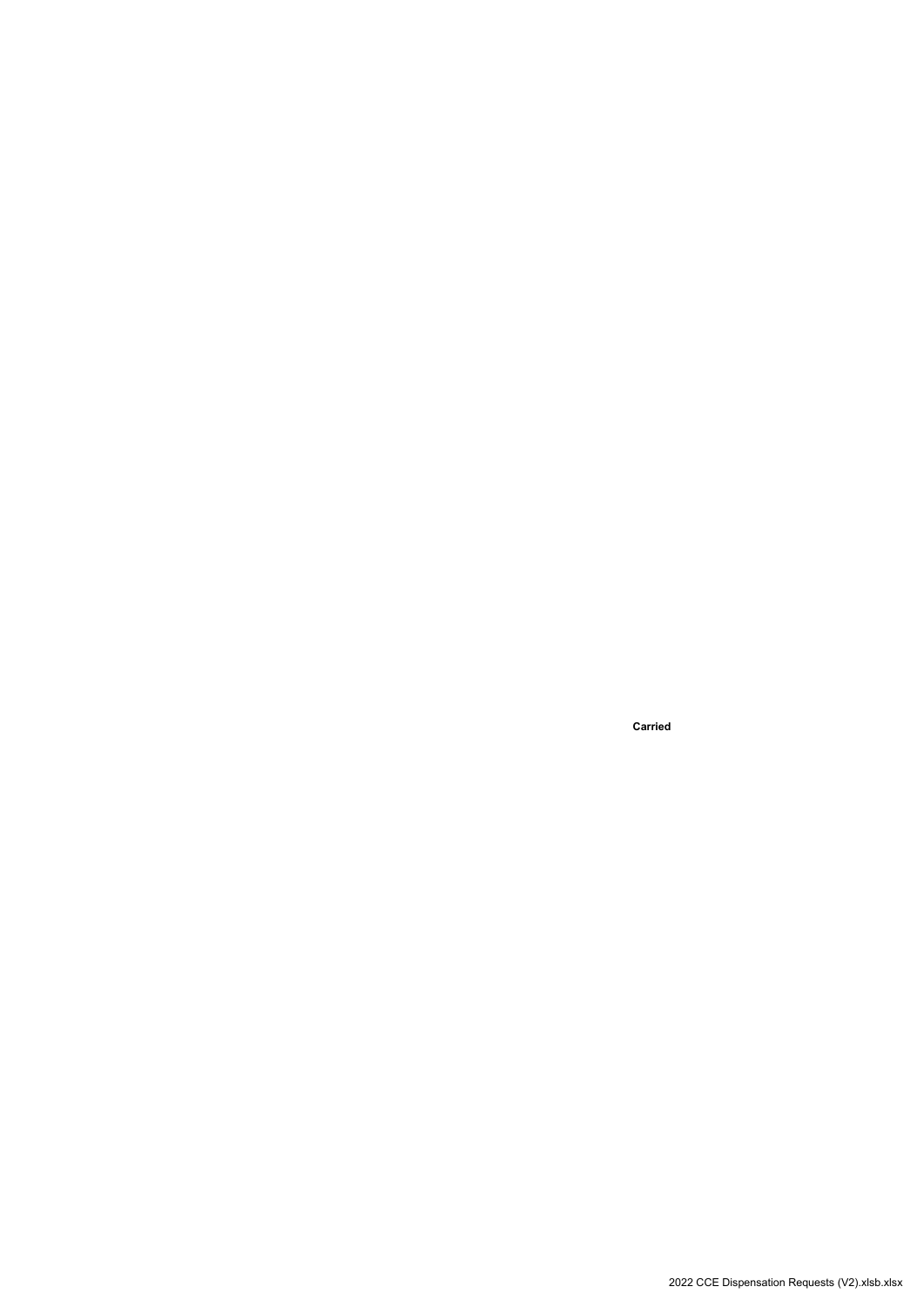**Carried**

2022 CCE Dispensation Requests (V2).xlsb.xlsx